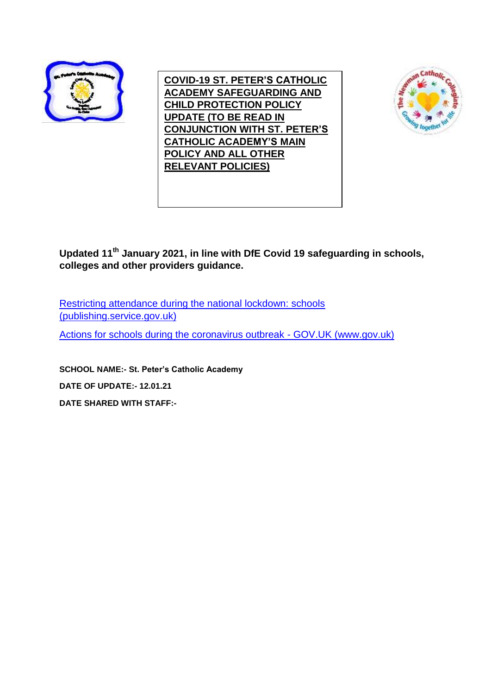

**COVID-19 ST. PETER'S CATHOLIC ACADEMY SAFEGUARDING AND CHILD PROTECTION POLICY UPDATE (TO BE READ IN CONJUNCTION WITH ST. PETER'S CATHOLIC ACADEMY'S MAIN POLICY AND ALL OTHER RELEVANT POLICIES)**



**Updated 11th January 2021, in line with DfE Covid 19 safeguarding in schools, colleges and other providers guidance.**

[Restricting attendance during the national lockdown: schools](https://assets.publishing.service.gov.uk/government/uploads/system/uploads/attachment_data/file/950510/School_national_restrictions_guidance.pdf)  [\(publishing.service.gov.uk\)](https://assets.publishing.service.gov.uk/government/uploads/system/uploads/attachment_data/file/950510/School_national_restrictions_guidance.pdf)

[Actions for schools during the coronavirus outbreak -](https://www.gov.uk/government/publications/actions-for-schools-during-the-coronavirus-outbreak) GOV.UK (www.gov.uk)

**SCHOOL NAME:- St. Peter's Catholic Academy DATE OF UPDATE:- 12.01.21 DATE SHARED WITH STAFF:-**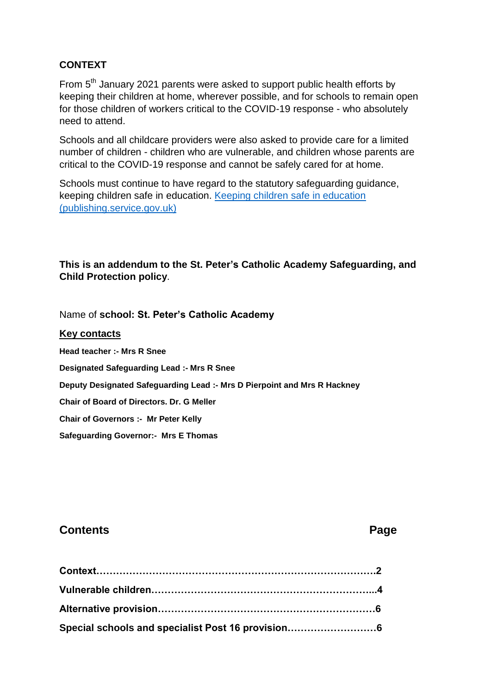#### **CONTEXT**

From  $5<sup>th</sup>$  January 2021 parents were asked to support public health efforts by keeping their children at home, wherever possible, and for schools to remain open for those children of workers critical to the COVID-19 response - who absolutely need to attend.

Schools and all childcare providers were also asked to provide care for a limited number of children - children who are vulnerable, and children whose parents are critical to the COVID-19 response and cannot be safely cared for at home.

Schools must continue to have regard to the statutory safeguarding guidance, keeping children safe in education. [Keeping children safe in education](https://assets.publishing.service.gov.uk/government/uploads/system/uploads/attachment_data/file/912592/Keeping_children_safe_in_education_Sep_2020.pdf)  [\(publishing.service.gov.uk\)](https://assets.publishing.service.gov.uk/government/uploads/system/uploads/attachment_data/file/912592/Keeping_children_safe_in_education_Sep_2020.pdf)

# **This is an addendum to the St. Peter's Catholic Academy Safeguarding, and Child Protection policy**.

Name of **school: St. Peter's Catholic Academy**

#### **Key contacts**

**Head teacher :- Mrs R Snee Designated Safeguarding Lead :- Mrs R Snee Deputy Designated Safeguarding Lead :- Mrs D Pierpoint and Mrs R Hackney Chair of Board of Directors. Dr. G Meller Chair of Governors :- Mr Peter Kelly**

**Safeguarding Governor:- Mrs E Thomas**

# **Contents** Page

| Special schools and specialist Post 16 provision6 |  |
|---------------------------------------------------|--|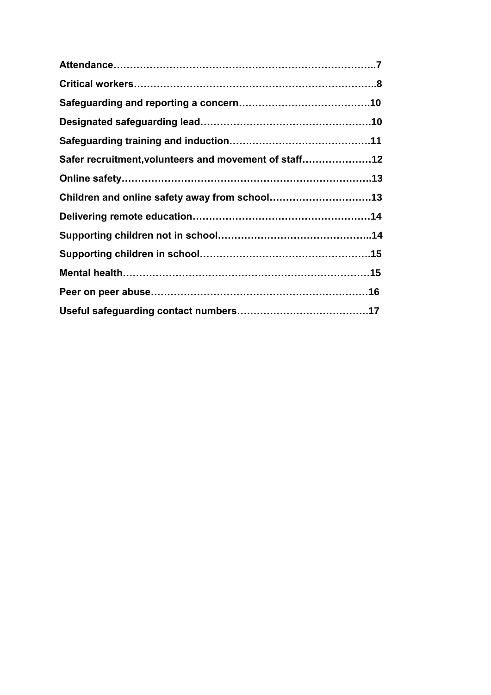| Safer recruitment, volunteers and movement of staff12 |  |
|-------------------------------------------------------|--|
|                                                       |  |
|                                                       |  |
|                                                       |  |
|                                                       |  |
|                                                       |  |
|                                                       |  |
|                                                       |  |
|                                                       |  |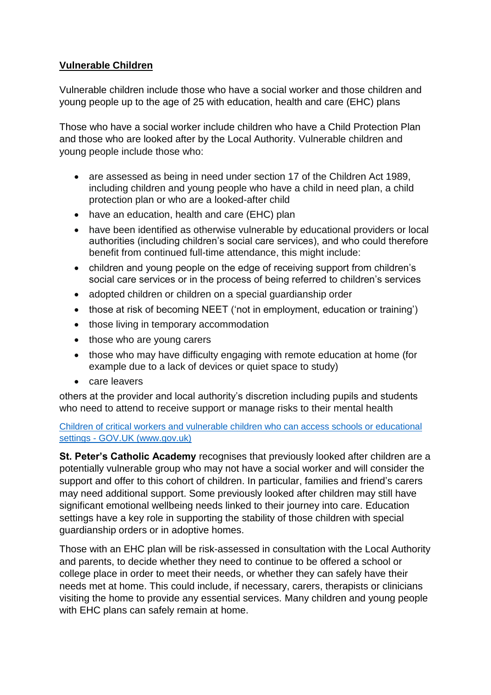# **Vulnerable Children**

Vulnerable children include those who have a social worker and those children and young people up to the age of 25 with education, health and care (EHC) plans

Those who have a social worker include children who have a Child Protection Plan and those who are looked after by the Local Authority. Vulnerable children and young people include those who:

- are assessed as being in need under section 17 of the Children Act 1989, including children and young people who have a child in need plan, a child protection plan or who are a looked-after child
- have an education, health and care (EHC) plan
- have been identified as otherwise vulnerable by educational providers or local authorities (including children's social care services), and who could therefore benefit from continued full-time attendance, this might include:
- children and young people on the edge of receiving support from children's social care services or in the process of being referred to children's services
- adopted children or children on a special quardianship order
- those at risk of becoming NEET ('not in employment, education or training')
- those living in temporary accommodation
- those who are young carers
- those who may have difficulty engaging with remote education at home (for example due to a lack of devices or quiet space to study)
- care leavers

others at the provider and local authority's discretion including pupils and students who need to attend to receive support or manage risks to their mental health

Children of critical workers and vulnerable children who can access schools or educational settings - GOV.UK (www.gov.uk)

**St. Peter's Catholic Academy** recognises that previously looked after children are a potentially vulnerable group who may not have a social worker and will consider the support and offer to this cohort of children. In particular, families and friend's carers may need additional support. Some previously looked after children may still have significant emotional wellbeing needs linked to their journey into care. Education settings have a key role in supporting the stability of those children with special guardianship orders or in adoptive homes.

Those with an EHC plan will be risk-assessed in consultation with the Local Authority and parents, to decide whether they need to continue to be offered a school or college place in order to meet their needs, or whether they can safely have their needs met at home. This could include, if necessary, carers, therapists or clinicians visiting the home to provide any essential services. Many children and young people with EHC plans can safely remain at home.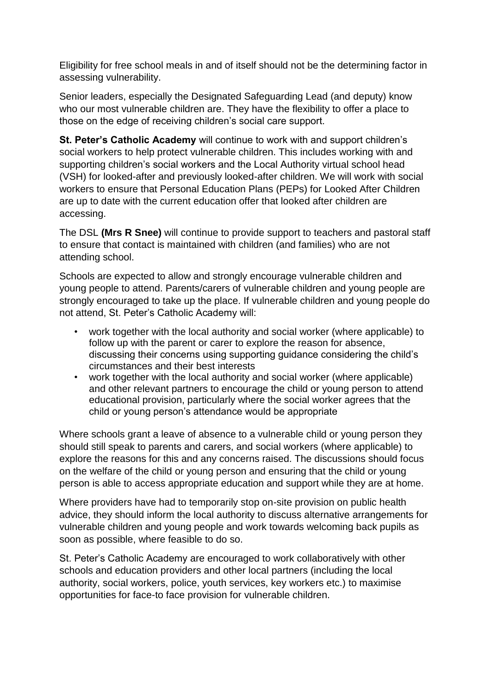Eligibility for free school meals in and of itself should not be the determining factor in assessing vulnerability.

Senior leaders, especially the Designated Safeguarding Lead (and deputy) know who our most vulnerable children are. They have the flexibility to offer a place to those on the edge of receiving children's social care support.

**St. Peter's Catholic Academy** will continue to work with and support children's social workers to help protect vulnerable children. This includes working with and supporting children's social workers and the Local Authority virtual school head (VSH) for looked-after and previously looked-after children. We will work with social workers to ensure that Personal Education Plans (PEPs) for Looked After Children are up to date with the current education offer that looked after children are accessing.

The DSL **(Mrs R Snee)** will continue to provide support to teachers and pastoral staff to ensure that contact is maintained with children (and families) who are not attending school.

Schools are expected to allow and strongly encourage vulnerable children and young people to attend. Parents/carers of vulnerable children and young people are strongly encouraged to take up the place. If vulnerable children and young people do not attend, St. Peter's Catholic Academy will:

- work together with the local authority and social worker (where applicable) to follow up with the parent or carer to explore the reason for absence, discussing their concerns using supporting guidance considering the child's circumstances and their best interests
- work together with the local authority and social worker (where applicable) and other relevant partners to encourage the child or young person to attend educational provision, particularly where the social worker agrees that the child or young person's attendance would be appropriate

Where schools grant a leave of absence to a vulnerable child or young person they should still speak to parents and carers, and social workers (where applicable) to explore the reasons for this and any concerns raised. The discussions should focus on the welfare of the child or young person and ensuring that the child or young person is able to access appropriate education and support while they are at home.

Where providers have had to temporarily stop on-site provision on public health advice, they should inform the local authority to discuss alternative arrangements for vulnerable children and young people and work towards welcoming back pupils as soon as possible, where feasible to do so.

St. Peter's Catholic Academy are encouraged to work collaboratively with other schools and education providers and other local partners (including the local authority, social workers, police, youth services, key workers etc.) to maximise opportunities for face-to face provision for vulnerable children.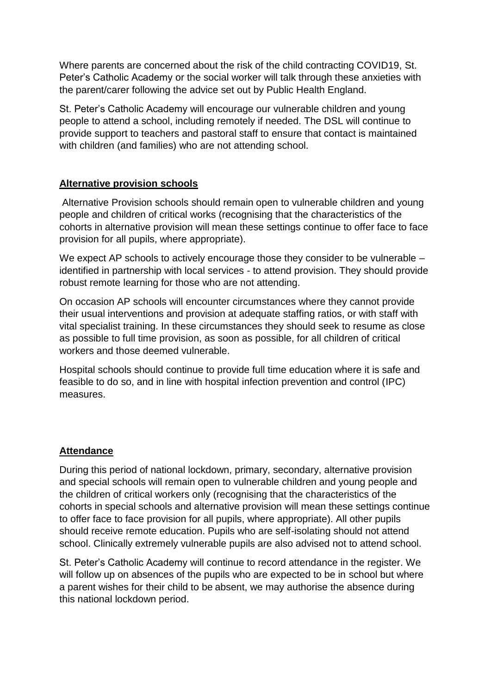Where parents are concerned about the risk of the child contracting COVID19, St. Peter's Catholic Academy or the social worker will talk through these anxieties with the parent/carer following the advice set out by Public Health England.

St. Peter's Catholic Academy will encourage our vulnerable children and young people to attend a school, including remotely if needed. The DSL will continue to provide support to teachers and pastoral staff to ensure that contact is maintained with children (and families) who are not attending school.

#### **Alternative provision schools**

Alternative Provision schools should remain open to vulnerable children and young people and children of critical works (recognising that the characteristics of the cohorts in alternative provision will mean these settings continue to offer face to face provision for all pupils, where appropriate).

We expect AP schools to actively encourage those they consider to be vulnerable – identified in partnership with local services - to attend provision. They should provide robust remote learning for those who are not attending.

On occasion AP schools will encounter circumstances where they cannot provide their usual interventions and provision at adequate staffing ratios, or with staff with vital specialist training. In these circumstances they should seek to resume as close as possible to full time provision, as soon as possible, for all children of critical workers and those deemed vulnerable.

Hospital schools should continue to provide full time education where it is safe and feasible to do so, and in line with hospital infection prevention and control (IPC) measures.

#### **Attendance**

During this period of national lockdown, primary, secondary, alternative provision and special schools will remain open to vulnerable children and young people and the children of critical workers only (recognising that the characteristics of the cohorts in special schools and alternative provision will mean these settings continue to offer face to face provision for all pupils, where appropriate). All other pupils should receive remote education. Pupils who are self-isolating should not attend school. Clinically extremely vulnerable pupils are also advised not to attend school.

St. Peter's Catholic Academy will continue to record attendance in the register. We will follow up on absences of the pupils who are expected to be in school but where a parent wishes for their child to be absent, we may authorise the absence during this national lockdown period.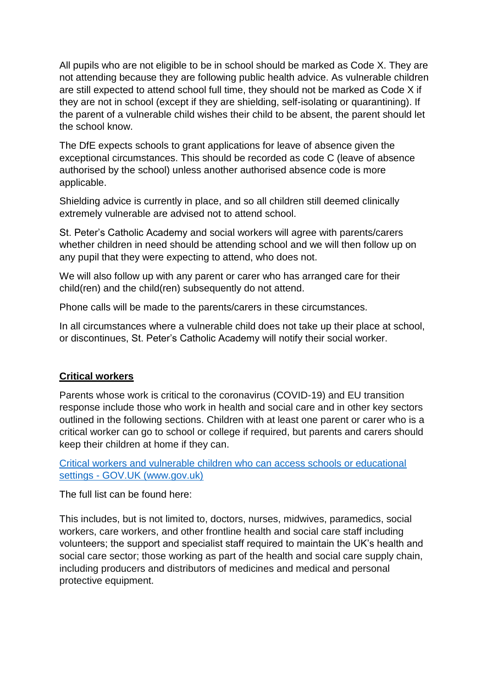All pupils who are not eligible to be in school should be marked as Code X. They are not attending because they are following public health advice. As vulnerable children are still expected to attend school full time, they should not be marked as Code X if they are not in school (except if they are shielding, self-isolating or quarantining). If the parent of a vulnerable child wishes their child to be absent, the parent should let the school know.

The DfE expects schools to grant applications for leave of absence given the exceptional circumstances. This should be recorded as code C (leave of absence authorised by the school) unless another authorised absence code is more applicable.

Shielding advice is currently in place, and so all children still deemed clinically extremely vulnerable are advised not to attend school.

St. Peter's Catholic Academy and social workers will agree with parents/carers whether children in need should be attending school and we will then follow up on any pupil that they were expecting to attend, who does not.

We will also follow up with any parent or carer who has arranged care for their child(ren) and the child(ren) subsequently do not attend.

Phone calls will be made to the parents/carers in these circumstances.

In all circumstances where a vulnerable child does not take up their place at school, or discontinues, St. Peter's Catholic Academy will notify their social worker.

#### **Critical workers**

Parents whose work is critical to the coronavirus (COVID-19) and EU transition response include those who work in health and social care and in other key sectors outlined in the following sections. Children with at least one parent or carer who is a critical worker can go to school or college if required, but parents and carers should keep their children at home if they can.

[Critical workers and vulnerable children who can access schools or educational](https://www.gov.uk/government/publications/coronavirus-covid-19-maintaining-educational-provision?utm_source=4%20January%202021%20C19&utm_medium=Daily%20Email%20C19&utm_campaign=DfE%20C19)  settings - [GOV.UK \(www.gov.uk\)](https://www.gov.uk/government/publications/coronavirus-covid-19-maintaining-educational-provision?utm_source=4%20January%202021%20C19&utm_medium=Daily%20Email%20C19&utm_campaign=DfE%20C19)

The full list can be found here:

This includes, but is not limited to, doctors, nurses, midwives, paramedics, social workers, care workers, and other frontline health and social care staff including volunteers; the support and specialist staff required to maintain the UK's health and social care sector; those working as part of the health and social care supply chain, including producers and distributors of medicines and medical and personal protective equipment.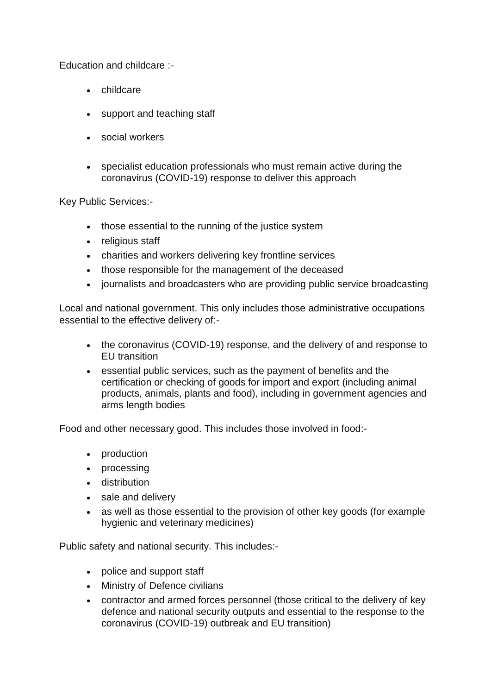Education and childcare :-

- childcare
- support and teaching staff
- social workers
- specialist education professionals who must remain active during the coronavirus (COVID-19) response to deliver this approach

Key Public Services:-

- those essential to the running of the justice system
- religious staff
- charities and workers delivering key frontline services
- those responsible for the management of the deceased
- journalists and broadcasters who are providing public service broadcasting

Local and national government. This only includes those administrative occupations essential to the effective delivery of:-

- the coronavirus (COVID-19) response, and the delivery of and response to EU transition
- essential public services, such as the payment of benefits and the certification or checking of goods for import and export (including animal products, animals, plants and food), including in government agencies and arms length bodies

Food and other necessary good. This includes those involved in food:-

- production
- processing
- **•** distribution
- sale and delivery
- as well as those essential to the provision of other key goods (for example hygienic and veterinary medicines)

Public safety and national security. This includes:-

- police and support staff
- Ministry of Defence civilians
- contractor and armed forces personnel (those critical to the delivery of key defence and national security outputs and essential to the response to the coronavirus (COVID-19) outbreak and EU transition)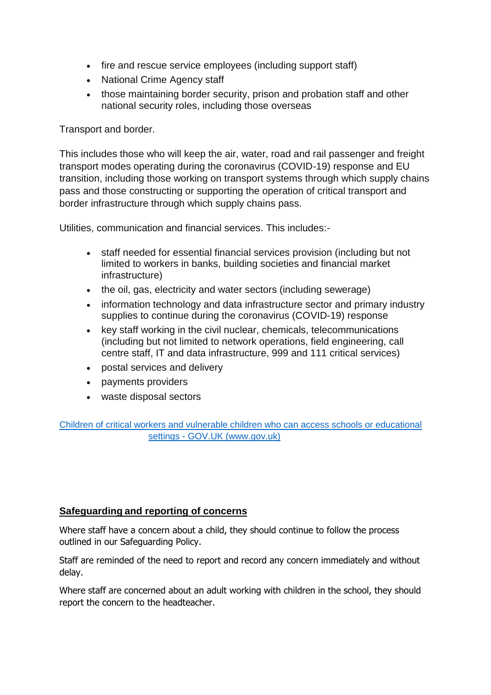- fire and rescue service employees (including support staff)
- National Crime Agency staff
- those maintaining border security, prison and probation staff and other national security roles, including those overseas

Transport and border.

This includes those who will keep the air, water, road and rail passenger and freight transport modes operating during the coronavirus (COVID-19) response and EU transition, including those working on transport systems through which supply chains pass and those constructing or supporting the operation of critical transport and border infrastructure through which supply chains pass.

Utilities, communication and financial services. This includes:-

- staff needed for essential financial services provision (including but not limited to workers in banks, building societies and financial market infrastructure)
- the oil, gas, electricity and water sectors (including sewerage)
- information technology and data infrastructure sector and primary industry supplies to continue during the coronavirus (COVID-19) response
- key staff working in the civil nuclear, chemicals, telecommunications (including but not limited to network operations, field engineering, call centre staff, IT and data infrastructure, 999 and 111 critical services)
- postal services and delivery
- payments providers
- waste disposal sectors

[Children of critical workers and vulnerable children who can access schools or educational](https://www.gov.uk/government/publications/coronavirus-covid-19-maintaining-educational-provision/guidance-for-schools-colleges-and-local-authorities-on-maintaining-educational-provision)  settings - [GOV.UK \(www.gov.uk\)](https://www.gov.uk/government/publications/coronavirus-covid-19-maintaining-educational-provision/guidance-for-schools-colleges-and-local-authorities-on-maintaining-educational-provision)

# **Safeguarding and reporting of concerns**

Where staff have a concern about a child, they should continue to follow the process outlined in our Safeguarding Policy.

Staff are reminded of the need to report and record any concern immediately and without delay.

Where staff are concerned about an adult working with children in the school, they should report the concern to the headteacher.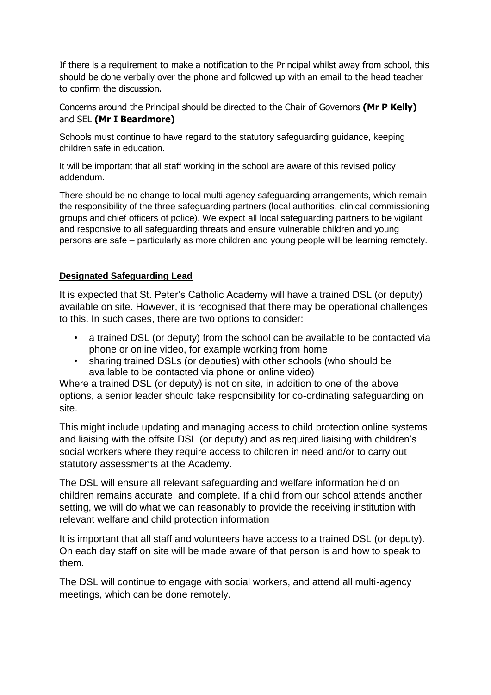If there is a requirement to make a notification to the Principal whilst away from school, this should be done verbally over the phone and followed up with an email to the head teacher to confirm the discussion.

Concerns around the Principal should be directed to the Chair of Governors **(Mr P Kelly)**  and SEL **(Mr I Beardmore)**

Schools must continue to have regard to the statutory safeguarding guidance, keeping children safe in education.

It will be important that all staff working in the school are aware of this revised policy addendum.

There should be no change to local multi-agency safeguarding arrangements, which remain the responsibility of the three safeguarding partners (local authorities, clinical commissioning groups and chief officers of police). We expect all local safeguarding partners to be vigilant and responsive to all safeguarding threats and ensure vulnerable children and young persons are safe – particularly as more children and young people will be learning remotely.

#### **Designated Safeguarding Lead**

It is expected that St. Peter's Catholic Academy will have a trained DSL (or deputy) available on site. However, it is recognised that there may be operational challenges to this. In such cases, there are two options to consider:

- a trained DSL (or deputy) from the school can be available to be contacted via phone or online video, for example working from home
- sharing trained DSLs (or deputies) with other schools (who should be available to be contacted via phone or online video)

Where a trained DSL (or deputy) is not on site, in addition to one of the above options, a senior leader should take responsibility for co-ordinating safeguarding on site.

This might include updating and managing access to child protection online systems and liaising with the offsite DSL (or deputy) and as required liaising with children's social workers where they require access to children in need and/or to carry out statutory assessments at the Academy.

The DSL will ensure all relevant safeguarding and welfare information held on children remains accurate, and complete. If a child from our school attends another setting, we will do what we can reasonably to provide the receiving institution with relevant welfare and child protection information

It is important that all staff and volunteers have access to a trained DSL (or deputy). On each day staff on site will be made aware of that person is and how to speak to them.

The DSL will continue to engage with social workers, and attend all multi-agency meetings, which can be done remotely.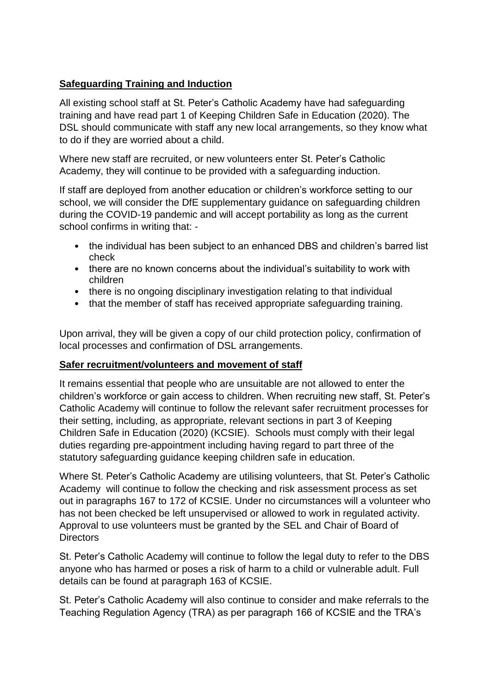# **Safeguarding Training and Induction**

All existing school staff at St. Peter's Catholic Academy have had safeguarding training and have read part 1 of Keeping Children Safe in Education (2020). The DSL should communicate with staff any new local arrangements, so they know what to do if they are worried about a child.

Where new staff are recruited, or new volunteers enter St. Peter's Catholic Academy, they will continue to be provided with a safeguarding induction.

If staff are deployed from another education or children's workforce setting to our school, we will consider the DfE supplementary guidance on safeguarding children during the COVID-19 pandemic and will accept portability as long as the current school confirms in writing that: -

- the individual has been subject to an enhanced DBS and children's barred list check
- there are no known concerns about the individual's suitability to work with children
- there is no ongoing disciplinary investigation relating to that individual
- that the member of staff has received appropriate safeguarding training.

Upon arrival, they will be given a copy of our child protection policy, confirmation of local processes and confirmation of DSL arrangements.

# **Safer recruitment/volunteers and movement of staff**

It remains essential that people who are unsuitable are not allowed to enter the children's workforce or gain access to children. When recruiting new staff, St. Peter's Catholic Academy will continue to follow the relevant safer recruitment processes for their setting, including, as appropriate, relevant sections in part 3 of Keeping Children Safe in Education (2020) (KCSIE). Schools must comply with their legal duties regarding pre-appointment including having regard to part three of the statutory safeguarding guidance keeping children safe in education.

Where St. Peter's Catholic Academy are utilising volunteers, that St. Peter's Catholic Academy will continue to follow the checking and risk assessment process as set out in paragraphs 167 to 172 of KCSIE. Under no circumstances will a volunteer who has not been checked be left unsupervised or allowed to work in regulated activity. Approval to use volunteers must be granted by the SEL and Chair of Board of **Directors** 

St. Peter's Catholic Academy will continue to follow the legal duty to refer to the DBS anyone who has harmed or poses a risk of harm to a child or vulnerable adult. Full details can be found at paragraph 163 of KCSIE.

St. Peter's Catholic Academy will also continue to consider and make referrals to the Teaching Regulation Agency (TRA) as per paragraph 166 of KCSIE and the TRA's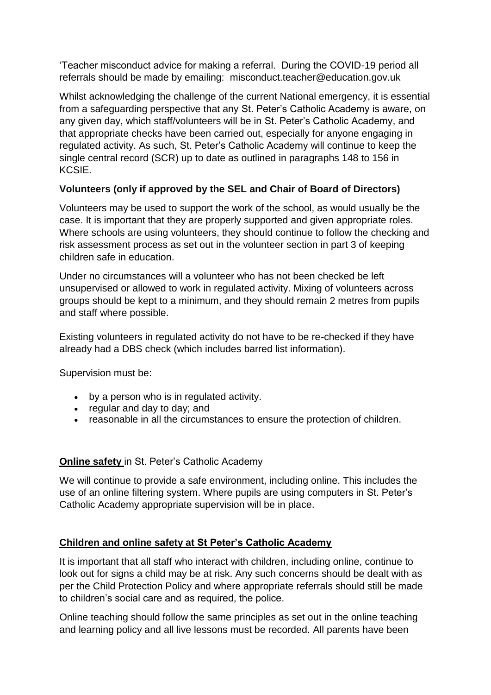'Teacher misconduct advice for making a referral. During the COVID-19 period all referrals should be made by emailing: misconduct.teacher@education.gov.uk

Whilst acknowledging the challenge of the current National emergency, it is essential from a safeguarding perspective that any St. Peter's Catholic Academy is aware, on any given day, which staff/volunteers will be in St. Peter's Catholic Academy, and that appropriate checks have been carried out, especially for anyone engaging in regulated activity. As such, St. Peter's Catholic Academy will continue to keep the single central record (SCR) up to date as outlined in paragraphs 148 to 156 in **KCSIE** 

# **Volunteers (only if approved by the SEL and Chair of Board of Directors)**

Volunteers may be used to support the work of the school, as would usually be the case. It is important that they are properly supported and given appropriate roles. Where schools are using volunteers, they should continue to follow the checking and risk assessment process as set out in the volunteer section in part 3 of keeping children safe in education.

Under no circumstances will a volunteer who has not been checked be left unsupervised or allowed to work in regulated activity. Mixing of volunteers across groups should be kept to a minimum, and they should remain 2 metres from pupils and staff where possible.

Existing volunteers in regulated activity do not have to be re-checked if they have already had a DBS check (which includes barred list information).

Supervision must be:

- by a person who is in regulated activity.
- regular and day to day; and
- reasonable in all the circumstances to ensure the protection of children.

# **Online safety** in St. Peter's Catholic Academy

We will continue to provide a safe environment, including online. This includes the use of an online filtering system. Where pupils are using computers in St. Peter's Catholic Academy appropriate supervision will be in place.

# **Children and online safety at St Peter's Catholic Academy**

It is important that all staff who interact with children, including online, continue to look out for signs a child may be at risk. Any such concerns should be dealt with as per the Child Protection Policy and where appropriate referrals should still be made to children's social care and as required, the police.

Online teaching should follow the same principles as set out in the online teaching and learning policy and all live lessons must be recorded. All parents have been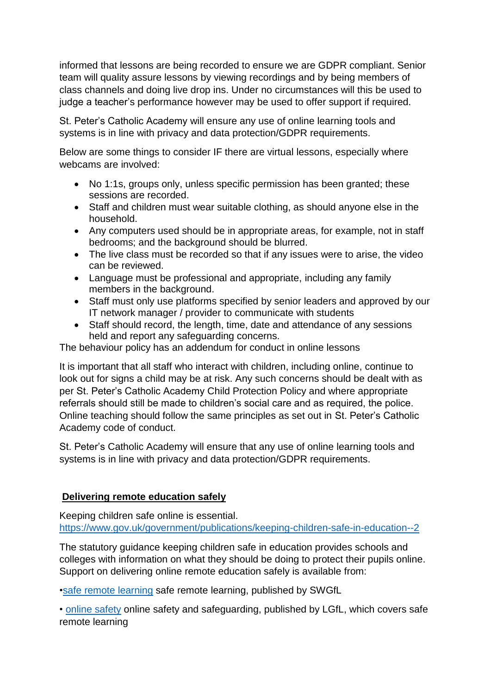informed that lessons are being recorded to ensure we are GDPR compliant. Senior team will quality assure lessons by viewing recordings and by being members of class channels and doing live drop ins. Under no circumstances will this be used to judge a teacher's performance however may be used to offer support if required.

St. Peter's Catholic Academy will ensure any use of online learning tools and systems is in line with privacy and data protection/GDPR requirements.

Below are some things to consider IF there are virtual lessons, especially where webcams are involved:

- No 1:1s, groups only, unless specific permission has been granted; these sessions are recorded.
- Staff and children must wear suitable clothing, as should anyone else in the household.
- Any computers used should be in appropriate areas, for example, not in staff bedrooms; and the background should be blurred.
- The live class must be recorded so that if any issues were to arise, the video can be reviewed.
- Language must be professional and appropriate, including any family members in the background.
- Staff must only use platforms specified by senior leaders and approved by our IT network manager / provider to communicate with students
- Staff should record, the length, time, date and attendance of any sessions held and report any safeguarding concerns.

The behaviour policy has an addendum for conduct in online lessons

It is important that all staff who interact with children, including online, continue to look out for signs a child may be at risk. Any such concerns should be dealt with as per St. Peter's Catholic Academy Child Protection Policy and where appropriate referrals should still be made to children's social care and as required, the police. Online teaching should follow the same principles as set out in St. Peter's Catholic Academy code of conduct.

St. Peter's Catholic Academy will ensure that any use of online learning tools and systems is in line with privacy and data protection/GDPR requirements.

# **Delivering remote education safely**

Keeping children safe online is essential. [https://www.gov.uk/government/publications/keeping-children-safe-in-education--2](file:///C:/Users/ibeardmore/AppData/Local/Microsoft/Windows/INetCache/Content.Outlook/CAQ4F446/keeping%20children%20safe%20in%20education)

The statutory guidance keeping children safe in education provides schools and colleges with information on what they should be doing to protect their pupils online. Support on delivering online remote education safely is available from:

[•safe remote learning](file:///C:/Users/ibeardmore/AppData/Local/Microsoft/Windows/INetCache/Content.Outlook/CAQ4F446/safe%20remote%20learning) safe remote learning, published by SWGfL

• [online safety](file:///C:/Users/ibeardmore/AppData/Local/Microsoft/Windows/INetCache/Content.Outlook/CAQ4F446/online%20safety) online safety and safeguarding, published by LGfL, which covers safe remote learning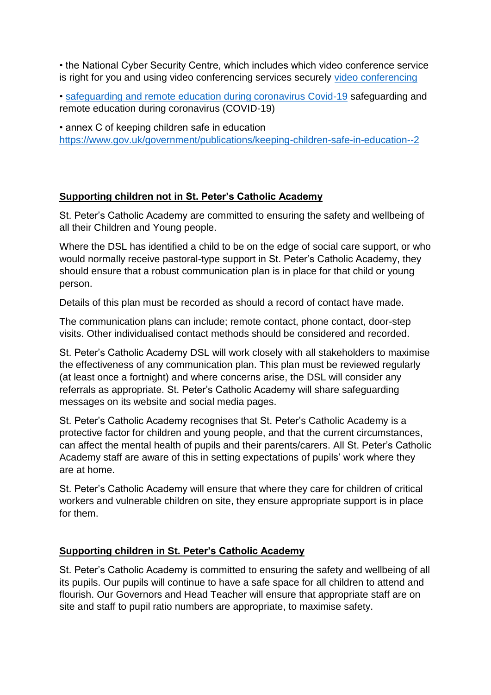• the National Cyber Security Centre, which includes which video conference service is right for you and using video conferencing services securely [video conferencing](file:///C:/Users/ibeardmore/AppData/Local/Microsoft/Windows/INetCache/Content.Outlook/CAQ4F446/video%20conferencing)

• [safeguarding and remote education during coronavirus Covid-19](file:///C:/Users/ibeardmore/AppData/Local/Microsoft/Windows/INetCache/Content.Outlook/CAQ4F446/safeguarding%20and%20remote%20education%20during%20coronavirus%20Covid-19) safeguarding and remote education during coronavirus (COVID-19)

• annex C of keeping children safe in education [https://www.gov.uk/government/publications/keeping-children-safe-in-education--2](file:///C:/Users/ibeardmore/AppData/Local/Microsoft/Windows/INetCache/Content.Outlook/CAQ4F446/keeping%20children%20safe%20in%20education) 

# **Supporting children not in St. Peter's Catholic Academy**

St. Peter's Catholic Academy are committed to ensuring the safety and wellbeing of all their Children and Young people.

Where the DSL has identified a child to be on the edge of social care support, or who would normally receive pastoral-type support in St. Peter's Catholic Academy, they should ensure that a robust communication plan is in place for that child or young person.

Details of this plan must be recorded as should a record of contact have made.

The communication plans can include; remote contact, phone contact, door-step visits. Other individualised contact methods should be considered and recorded.

St. Peter's Catholic Academy DSL will work closely with all stakeholders to maximise the effectiveness of any communication plan. This plan must be reviewed regularly (at least once a fortnight) and where concerns arise, the DSL will consider any referrals as appropriate. St. Peter's Catholic Academy will share safeguarding messages on its website and social media pages.

St. Peter's Catholic Academy recognises that St. Peter's Catholic Academy is a protective factor for children and young people, and that the current circumstances, can affect the mental health of pupils and their parents/carers. All St. Peter's Catholic Academy staff are aware of this in setting expectations of pupils' work where they are at home.

St. Peter's Catholic Academy will ensure that where they care for children of critical workers and vulnerable children on site, they ensure appropriate support is in place for them.

# **Supporting children in St. Peter's Catholic Academy**

St. Peter's Catholic Academy is committed to ensuring the safety and wellbeing of all its pupils. Our pupils will continue to have a safe space for all children to attend and flourish. Our Governors and Head Teacher will ensure that appropriate staff are on site and staff to pupil ratio numbers are appropriate, to maximise safety.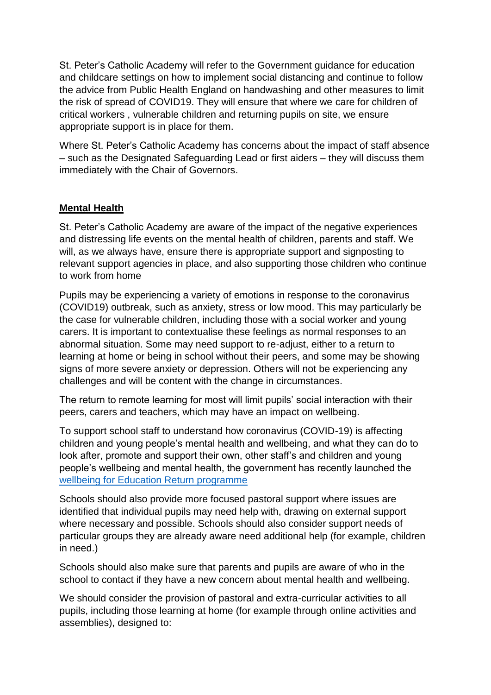St. Peter's Catholic Academy will refer to the Government guidance for education and childcare settings on how to implement social distancing and continue to follow the advice from Public Health England on handwashing and other measures to limit the risk of spread of COVID19. They will ensure that where we care for children of critical workers , vulnerable children and returning pupils on site, we ensure appropriate support is in place for them.

Where St. Peter's Catholic Academy has concerns about the impact of staff absence – such as the Designated Safeguarding Lead or first aiders – they will discuss them immediately with the Chair of Governors.

#### **Mental Health**

St. Peter's Catholic Academy are aware of the impact of the negative experiences and distressing life events on the mental health of children, parents and staff. We will, as we always have, ensure there is appropriate support and signposting to relevant support agencies in place, and also supporting those children who continue to work from home

Pupils may be experiencing a variety of emotions in response to the coronavirus (COVID19) outbreak, such as anxiety, stress or low mood. This may particularly be the case for vulnerable children, including those with a social worker and young carers. It is important to contextualise these feelings as normal responses to an abnormal situation. Some may need support to re-adjust, either to a return to learning at home or being in school without their peers, and some may be showing signs of more severe anxiety or depression. Others will not be experiencing any challenges and will be content with the change in circumstances.

The return to remote learning for most will limit pupils' social interaction with their peers, carers and teachers, which may have an impact on wellbeing.

To support school staff to understand how coronavirus (COVID-19) is affecting children and young people's mental health and wellbeing, and what they can do to look after, promote and support their own, other staff's and children and young people's wellbeing and mental health, the government has recently launched the [wellbeing for Education Return programme](file:///C:/Users/ibeardmore/AppData/Local/Microsoft/Windows/INetCache/Content.Outlook/CAQ4F446/wellbeing%20for%20Education%20Return%20programme)

Schools should also provide more focused pastoral support where issues are identified that individual pupils may need help with, drawing on external support where necessary and possible. Schools should also consider support needs of particular groups they are already aware need additional help (for example, children in need.)

Schools should also make sure that parents and pupils are aware of who in the school to contact if they have a new concern about mental health and wellbeing.

We should consider the provision of pastoral and extra-curricular activities to all pupils, including those learning at home (for example through online activities and assemblies), designed to: